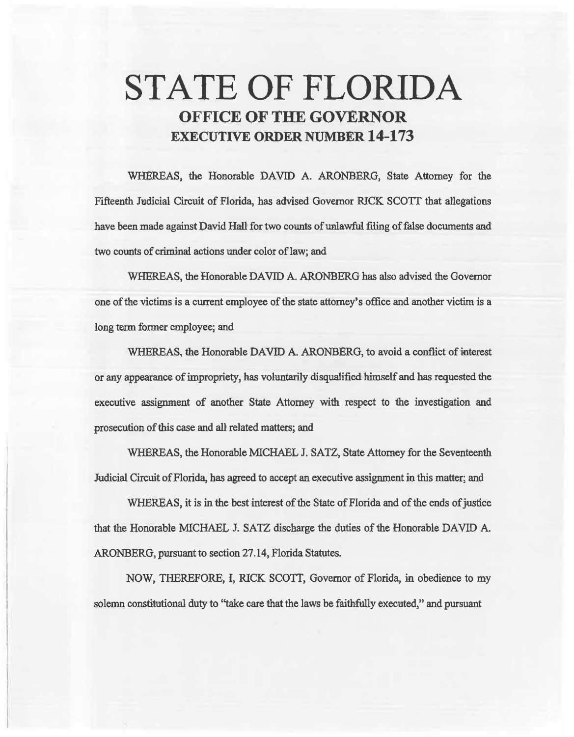# STATE OF FLORIDA OFFICE OF THE GOVERNOR EXECUTIVE ORDER NUMBER 14-173

WHEREAS, the Honorable DAVID A. ARONBERG, State Attorney for the Fifteenth Judicial Circuit of Florida, has advised Governor RICK *SCOTT* that allegations have been made against David Hall for two counts of unlawful filing of false documents and two counts of criminal actions under color of law; and

WHEREAS, the Honorable DAVID A. ARONBERG has also advised the Governor one of the victims is a current employee of the state attorney's office and another victim is a long term former employee; and

WHEREAS. the Honorable DAVID A. ARONBERG, to avoid a conflict of interest or any appearance of impropriety, has voluntarily disqualified himself and has requested the executive assignment of another State Attorney with respect to the investigation and prosecution of this case and all related matters; and

WHEREAS, the Honorable MICHAEL J. SATZ, State Attorney for the Seventeenth Judicial Circuit of Florida, has agreed to accept an executive assignment in this matter; and

WHEREAS, it is in the best interest of the State of Florida and of the ends of justice that the Honorable MICHAEL J. SATZ discharge the duties of the Honorable DAVID A. ARONBERG, pursuant to section 27.14, Florida Statutes.

NOW, THEREFORE, I, RICK SCOTT, Governor of Florida, in obedience to my solemn constitutional duty to "take care that the laws be faithfully executed," and pursuant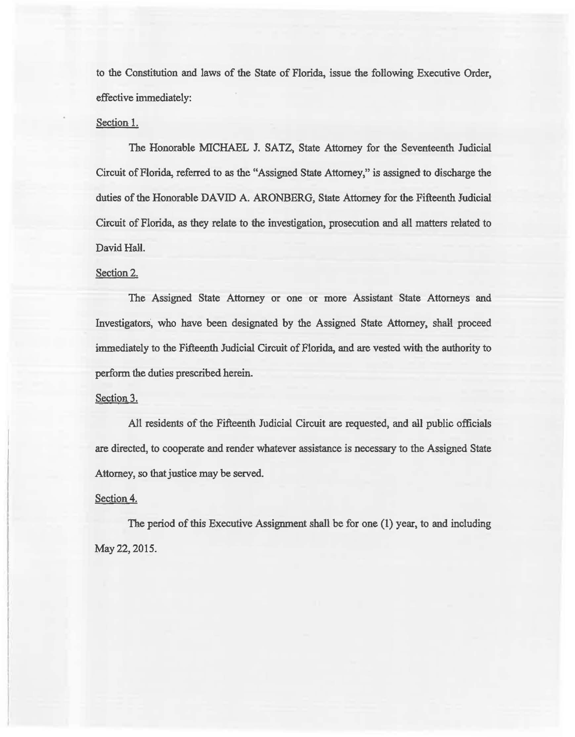to the Constitution and laws of the State of Florida, issue the following Executive Order, effective immediately:

## Section 1.

The Honorable MICHAEL J. SATZ, State Attorney for the Seventeenth Judicial Circuit of Florida, referred to as the "Assigned State Attorney," is assigned to discharge the duties of the Honorable DAVID A. ARONBERG, State Attorney for the Fifteenth Judicial Circuit of Florida, as they relate to the investigation, prosecution and aU matters related to David Hall.

#### Section 2.

The Assigned State Attorney or one or more Assistant State Attorneys and Investigators", who have been designated by the Assigned State Attorney, shalt proceed immediately to the Fifteenth Judicial Circuit of Florida, and are vested with the authority to perform the duties prescribed herein.

### Section 3.

All residents of the Fifteenth Judicial Circuit are requested, and all public officials are directed, to cooperate and render whatever assistance is necessary to the Assigned State Attorney, so that justice may be served.

## Section 4.

The period of this Executive Assignment shall be for one (1) year, to and including May 22, 2015.